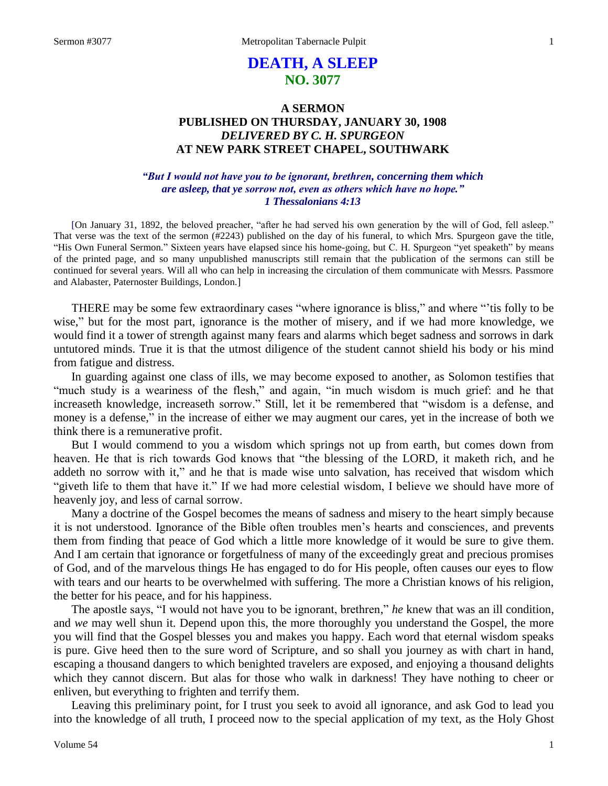# **DEATH, A SLEEP NO. 3077**

# **A SERMON PUBLISHED ON THURSDAY, JANUARY 30, 1908** *DELIVERED BY C. H. SPURGEON* **AT NEW PARK STREET CHAPEL, SOUTHWARK**

# *"But I would not have you to be ignorant, brethren, concerning them which are asleep, that ye sorrow not, even as others which have no hope." 1 Thessalonians 4:13*

[On January 31, 1892, the beloved preacher, "after he had served his own generation by the will of God, fell asleep." That verse was the text of the sermon (#2243) published on the day of his funeral, to which Mrs. Spurgeon gave the title, "His Own Funeral Sermon." Sixteen years have elapsed since his home-going, but C. H. Spurgeon "yet speaketh" by means of the printed page, and so many unpublished manuscripts still remain that the publication of the sermons can still be continued for several years. Will all who can help in increasing the circulation of them communicate with Messrs. Passmore and Alabaster, Paternoster Buildings, London.]

THERE may be some few extraordinary cases "where ignorance is bliss," and where "'tis folly to be wise," but for the most part, ignorance is the mother of misery, and if we had more knowledge, we would find it a tower of strength against many fears and alarms which beget sadness and sorrows in dark untutored minds. True it is that the utmost diligence of the student cannot shield his body or his mind from fatigue and distress.

In guarding against one class of ills, we may become exposed to another, as Solomon testifies that "much study is a weariness of the flesh," and again, "in much wisdom is much grief: and he that increaseth knowledge, increaseth sorrow." Still, let it be remembered that "wisdom is a defense, and money is a defense," in the increase of either we may augment our cares, yet in the increase of both we think there is a remunerative profit.

But I would commend to you a wisdom which springs not up from earth, but comes down from heaven. He that is rich towards God knows that "the blessing of the LORD, it maketh rich, and he addeth no sorrow with it," and he that is made wise unto salvation, has received that wisdom which "giveth life to them that have it." If we had more celestial wisdom, I believe we should have more of heavenly joy, and less of carnal sorrow.

Many a doctrine of the Gospel becomes the means of sadness and misery to the heart simply because it is not understood. Ignorance of the Bible often troubles men's hearts and consciences, and prevents them from finding that peace of God which a little more knowledge of it would be sure to give them. And I am certain that ignorance or forgetfulness of many of the exceedingly great and precious promises of God, and of the marvelous things He has engaged to do for His people, often causes our eyes to flow with tears and our hearts to be overwhelmed with suffering. The more a Christian knows of his religion, the better for his peace, and for his happiness.

The apostle says, "I would not have you to be ignorant, brethren," *he* knew that was an ill condition, and *we* may well shun it. Depend upon this, the more thoroughly you understand the Gospel, the more you will find that the Gospel blesses you and makes you happy. Each word that eternal wisdom speaks is pure. Give heed then to the sure word of Scripture, and so shall you journey as with chart in hand, escaping a thousand dangers to which benighted travelers are exposed, and enjoying a thousand delights which they cannot discern. But alas for those who walk in darkness! They have nothing to cheer or enliven, but everything to frighten and terrify them.

Leaving this preliminary point, for I trust you seek to avoid all ignorance, and ask God to lead you into the knowledge of all truth, I proceed now to the special application of my text, as the Holy Ghost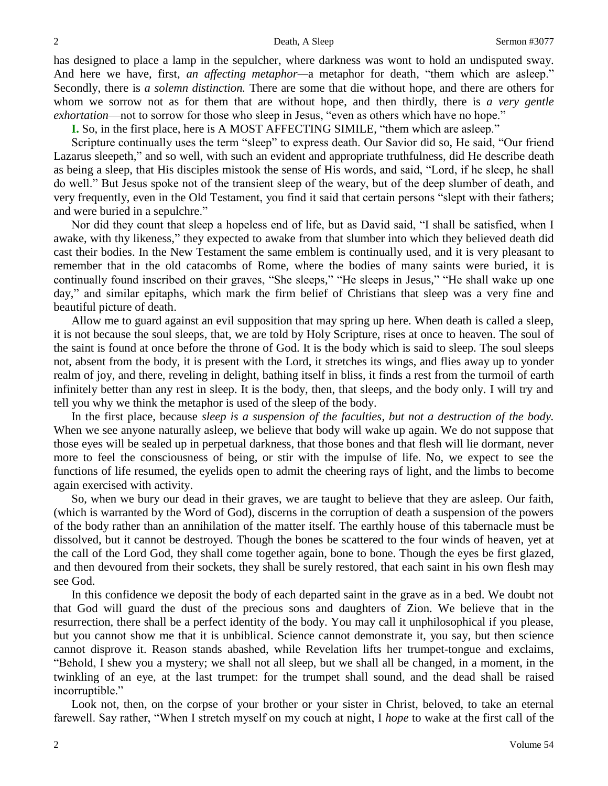has designed to place a lamp in the sepulcher, where darkness was wont to hold an undisputed sway. And here we have, first, *an affecting metaphor—*a metaphor for death, "them which are asleep." Secondly, there is *a solemn distinction.* There are some that die without hope, and there are others for whom we sorrow not as for them that are without hope, and then thirdly, there is *a very gentle exhortation*—not to sorrow for those who sleep in Jesus, "even as others which have no hope."

**I.** So, in the first place, here is A MOST AFFECTING SIMILE, "them which are asleep."

Scripture continually uses the term "sleep" to express death. Our Savior did so, He said, "Our friend Lazarus sleepeth," and so well, with such an evident and appropriate truthfulness, did He describe death as being a sleep, that His disciples mistook the sense of His words, and said, "Lord, if he sleep, he shall do well." But Jesus spoke not of the transient sleep of the weary, but of the deep slumber of death, and very frequently, even in the Old Testament, you find it said that certain persons "slept with their fathers; and were buried in a sepulchre."

Nor did they count that sleep a hopeless end of life, but as David said, "I shall be satisfied, when I awake, with thy likeness," they expected to awake from that slumber into which they believed death did cast their bodies. In the New Testament the same emblem is continually used, and it is very pleasant to remember that in the old catacombs of Rome, where the bodies of many saints were buried, it is continually found inscribed on their graves, "She sleeps," "He sleeps in Jesus," "He shall wake up one day," and similar epitaphs, which mark the firm belief of Christians that sleep was a very fine and beautiful picture of death.

Allow me to guard against an evil supposition that may spring up here. When death is called a sleep, it is not because the soul sleeps, that, we are told by Holy Scripture, rises at once to heaven. The soul of the saint is found at once before the throne of God. It is the body which is said to sleep. The soul sleeps not, absent from the body, it is present with the Lord, it stretches its wings, and flies away up to yonder realm of joy, and there, reveling in delight, bathing itself in bliss, it finds a rest from the turmoil of earth infinitely better than any rest in sleep. It is the body, then, that sleeps, and the body only. I will try and tell you why we think the metaphor is used of the sleep of the body.

In the first place, because *sleep is a suspension of the faculties, but not a destruction of the body.*  When we see anyone naturally asleep, we believe that body will wake up again. We do not suppose that those eyes will be sealed up in perpetual darkness, that those bones and that flesh will lie dormant, never more to feel the consciousness of being, or stir with the impulse of life. No, we expect to see the functions of life resumed, the eyelids open to admit the cheering rays of light, and the limbs to become again exercised with activity.

So, when we bury our dead in their graves, we are taught to believe that they are asleep. Our faith, (which is warranted by the Word of God), discerns in the corruption of death a suspension of the powers of the body rather than an annihilation of the matter itself. The earthly house of this tabernacle must be dissolved, but it cannot be destroyed. Though the bones be scattered to the four winds of heaven, yet at the call of the Lord God, they shall come together again, bone to bone. Though the eyes be first glazed, and then devoured from their sockets, they shall be surely restored, that each saint in his own flesh may see God.

In this confidence we deposit the body of each departed saint in the grave as in a bed. We doubt not that God will guard the dust of the precious sons and daughters of Zion. We believe that in the resurrection, there shall be a perfect identity of the body. You may call it unphilosophical if you please, but you cannot show me that it is unbiblical. Science cannot demonstrate it, you say, but then science cannot disprove it. Reason stands abashed, while Revelation lifts her trumpet-tongue and exclaims, "Behold, I shew you a mystery; we shall not all sleep, but we shall all be changed, in a moment, in the twinkling of an eye, at the last trumpet: for the trumpet shall sound, and the dead shall be raised incorruptible."

Look not, then, on the corpse of your brother or your sister in Christ, beloved, to take an eternal farewell. Say rather, "When I stretch myself on my couch at night, I *hope* to wake at the first call of the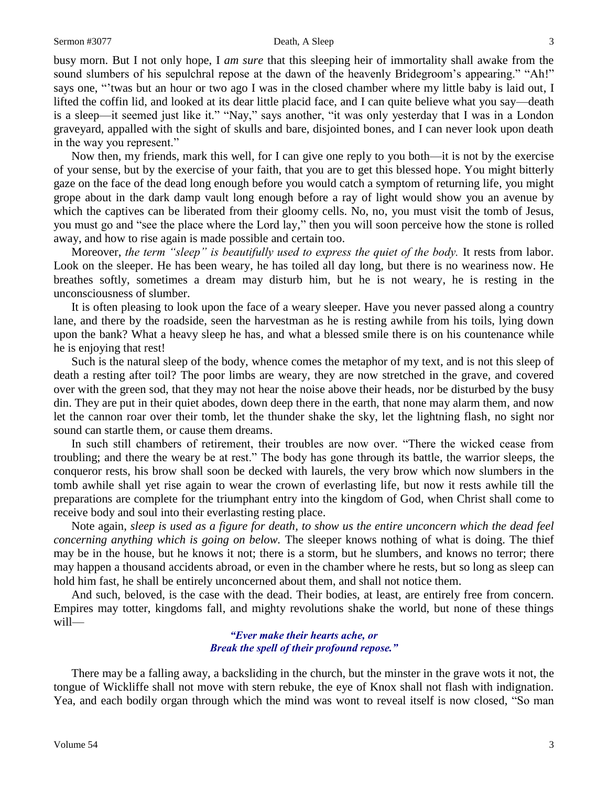#### Sermon #3077 Death, A Sleep 3

busy morn. But I not only hope, I *am sure* that this sleeping heir of immortality shall awake from the sound slumbers of his sepulchral repose at the dawn of the heavenly Bridegroom's appearing." "Ah!" says one, "'twas but an hour or two ago I was in the closed chamber where my little baby is laid out, I lifted the coffin lid, and looked at its dear little placid face, and I can quite believe what you say—death is a sleep—it seemed just like it." "Nay," says another, "it was only yesterday that I was in a London graveyard, appalled with the sight of skulls and bare, disjointed bones, and I can never look upon death in the way you represent."

Now then, my friends, mark this well, for I can give one reply to you both—it is not by the exercise of your sense, but by the exercise of your faith, that you are to get this blessed hope. You might bitterly gaze on the face of the dead long enough before you would catch a symptom of returning life, you might grope about in the dark damp vault long enough before a ray of light would show you an avenue by which the captives can be liberated from their gloomy cells. No, no, you must visit the tomb of Jesus, you must go and "see the place where the Lord lay," then you will soon perceive how the stone is rolled away, and how to rise again is made possible and certain too.

Moreover, *the term "sleep" is beautifully used to express the quiet of the body.* It rests from labor. Look on the sleeper. He has been weary, he has toiled all day long, but there is no weariness now. He breathes softly, sometimes a dream may disturb him, but he is not weary, he is resting in the unconsciousness of slumber.

It is often pleasing to look upon the face of a weary sleeper. Have you never passed along a country lane, and there by the roadside, seen the harvestman as he is resting awhile from his toils, lying down upon the bank? What a heavy sleep he has, and what a blessed smile there is on his countenance while he is enjoying that rest!

Such is the natural sleep of the body, whence comes the metaphor of my text, and is not this sleep of death a resting after toil? The poor limbs are weary, they are now stretched in the grave, and covered over with the green sod, that they may not hear the noise above their heads, nor be disturbed by the busy din. They are put in their quiet abodes, down deep there in the earth, that none may alarm them, and now let the cannon roar over their tomb, let the thunder shake the sky, let the lightning flash, no sight nor sound can startle them, or cause them dreams.

In such still chambers of retirement, their troubles are now over. "There the wicked cease from troubling; and there the weary be at rest." The body has gone through its battle, the warrior sleeps, the conqueror rests, his brow shall soon be decked with laurels, the very brow which now slumbers in the tomb awhile shall yet rise again to wear the crown of everlasting life, but now it rests awhile till the preparations are complete for the triumphant entry into the kingdom of God, when Christ shall come to receive body and soul into their everlasting resting place.

Note again, *sleep is used as a figure for death, to show us the entire unconcern which the dead feel concerning anything which is going on below.* The sleeper knows nothing of what is doing. The thief may be in the house, but he knows it not; there is a storm, but he slumbers, and knows no terror; there may happen a thousand accidents abroad, or even in the chamber where he rests, but so long as sleep can hold him fast, he shall be entirely unconcerned about them, and shall not notice them.

And such, beloved, is the case with the dead. Their bodies, at least, are entirely free from concern. Empires may totter, kingdoms fall, and mighty revolutions shake the world, but none of these things will—

## *"Ever make their hearts ache, or Break the spell of their profound repose."*

There may be a falling away, a backsliding in the church, but the minster in the grave wots it not, the tongue of Wickliffe shall not move with stern rebuke, the eye of Knox shall not flash with indignation. Yea, and each bodily organ through which the mind was wont to reveal itself is now closed, "So man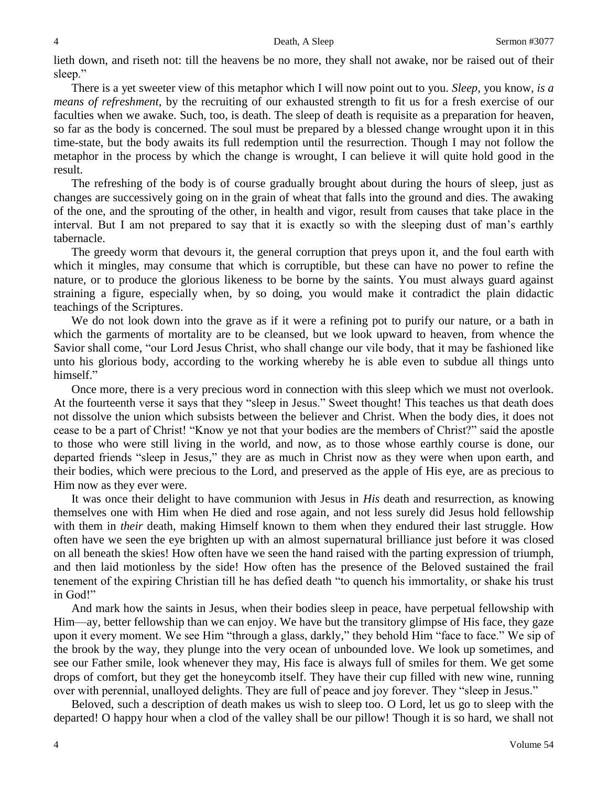lieth down, and riseth not: till the heavens be no more, they shall not awake, nor be raised out of their sleep."

There is a yet sweeter view of this metaphor which I will now point out to you. *Sleep,* you know, *is a means of refreshment,* by the recruiting of our exhausted strength to fit us for a fresh exercise of our faculties when we awake. Such, too, is death. The sleep of death is requisite as a preparation for heaven, so far as the body is concerned. The soul must be prepared by a blessed change wrought upon it in this time-state, but the body awaits its full redemption until the resurrection. Though I may not follow the metaphor in the process by which the change is wrought, I can believe it will quite hold good in the result.

The refreshing of the body is of course gradually brought about during the hours of sleep, just as changes are successively going on in the grain of wheat that falls into the ground and dies. The awaking of the one, and the sprouting of the other, in health and vigor, result from causes that take place in the interval. But I am not prepared to say that it is exactly so with the sleeping dust of man's earthly tabernacle.

The greedy worm that devours it, the general corruption that preys upon it, and the foul earth with which it mingles, may consume that which is corruptible, but these can have no power to refine the nature, or to produce the glorious likeness to be borne by the saints. You must always guard against straining a figure, especially when, by so doing, you would make it contradict the plain didactic teachings of the Scriptures.

We do not look down into the grave as if it were a refining pot to purify our nature, or a bath in which the garments of mortality are to be cleansed, but we look upward to heaven, from whence the Savior shall come, "our Lord Jesus Christ, who shall change our vile body, that it may be fashioned like unto his glorious body, according to the working whereby he is able even to subdue all things unto himself."

Once more, there is a very precious word in connection with this sleep which we must not overlook. At the fourteenth verse it says that they "sleep in Jesus." Sweet thought! This teaches us that death does not dissolve the union which subsists between the believer and Christ. When the body dies, it does not cease to be a part of Christ! "Know ye not that your bodies are the members of Christ?" said the apostle to those who were still living in the world, and now, as to those whose earthly course is done, our departed friends "sleep in Jesus," they are as much in Christ now as they were when upon earth, and their bodies, which were precious to the Lord, and preserved as the apple of His eye, are as precious to Him now as they ever were.

It was once their delight to have communion with Jesus in *His* death and resurrection, as knowing themselves one with Him when He died and rose again, and not less surely did Jesus hold fellowship with them in *their* death, making Himself known to them when they endured their last struggle. How often have we seen the eye brighten up with an almost supernatural brilliance just before it was closed on all beneath the skies! How often have we seen the hand raised with the parting expression of triumph, and then laid motionless by the side! How often has the presence of the Beloved sustained the frail tenement of the expiring Christian till he has defied death "to quench his immortality, or shake his trust in God!"

And mark how the saints in Jesus, when their bodies sleep in peace, have perpetual fellowship with Him—ay, better fellowship than we can enjoy. We have but the transitory glimpse of His face, they gaze upon it every moment. We see Him "through a glass, darkly," they behold Him "face to face." We sip of the brook by the way, they plunge into the very ocean of unbounded love. We look up sometimes, and see our Father smile, look whenever they may, His face is always full of smiles for them. We get some drops of comfort, but they get the honeycomb itself. They have their cup filled with new wine, running over with perennial, unalloyed delights. They are full of peace and joy forever. They "sleep in Jesus."

Beloved, such a description of death makes us wish to sleep too. O Lord, let us go to sleep with the departed! O happy hour when a clod of the valley shall be our pillow! Though it is so hard, we shall not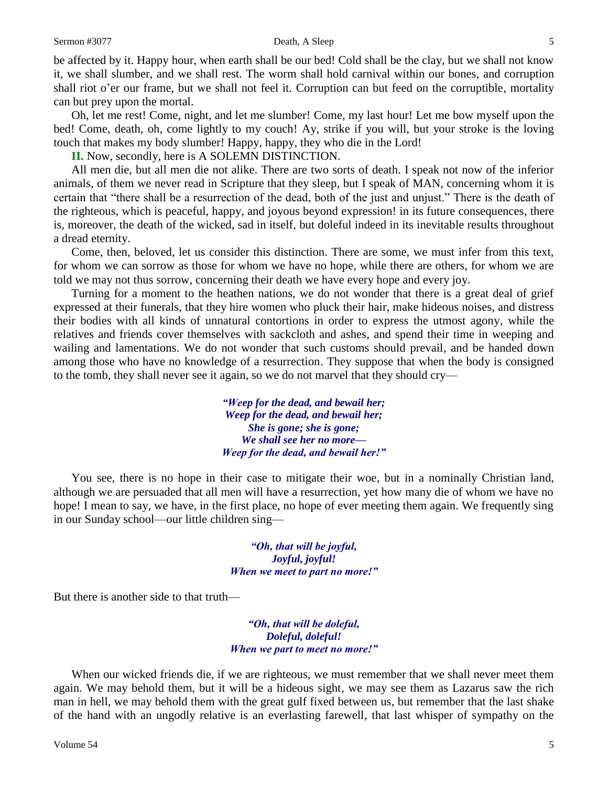#### Sermon #3077 Death, A Sleep 5

be affected by it. Happy hour, when earth shall be our bed! Cold shall be the clay, but we shall not know it, we shall slumber, and we shall rest. The worm shall hold carnival within our bones, and corruption shall riot o'er our frame, but we shall not feel it. Corruption can but feed on the corruptible, mortality can but prey upon the mortal.

Oh, let me rest! Come, night, and let me slumber! Come, my last hour! Let me bow myself upon the bed! Come, death, oh, come lightly to my couch! Ay, strike if you will, but your stroke is the loving touch that makes my body slumber! Happy, happy, they who die in the Lord!

**II.** Now, secondly, here is A SOLEMN DISTINCTION.

All men die, but all men die not alike. There are two sorts of death. I speak not now of the inferior animals, of them we never read in Scripture that they sleep, but I speak of MAN, concerning whom it is certain that "there shall be a resurrection of the dead, both of the just and unjust." There is the death of the righteous, which is peaceful, happy, and joyous beyond expression! in its future consequences, there is, moreover, the death of the wicked, sad in itself, but doleful indeed in its inevitable results throughout a dread eternity.

Come, then, beloved, let us consider this distinction. There are some, we must infer from this text, for whom we can sorrow as those for whom we have no hope, while there are others, for whom we are told we may not thus sorrow, concerning their death we have every hope and every joy.

Turning for a moment to the heathen nations, we do not wonder that there is a great deal of grief expressed at their funerals, that they hire women who pluck their hair, make hideous noises, and distress their bodies with all kinds of unnatural contortions in order to express the utmost agony, while the relatives and friends cover themselves with sackcloth and ashes, and spend their time in weeping and wailing and lamentations. We do not wonder that such customs should prevail, and be handed down among those who have no knowledge of a resurrection. They suppose that when the body is consigned to the tomb, they shall never see it again, so we do not marvel that they should cry—

> *"Weep for the dead, and bewail her; Weep for the dead, and bewail her; She is gone; she is gone; We shall see her no more— Weep for the dead, and bewail her!"*

You see, there is no hope in their case to mitigate their woe, but in a nominally Christian land, although we are persuaded that all men will have a resurrection, yet how many die of whom we have no hope! I mean to say, we have, in the first place, no hope of ever meeting them again. We frequently sing in our Sunday school—our little children sing—

> *"Oh, that will be joyful, Joyful, joyful! When we meet to part no more!"*

But there is another side to that truth—

*"Oh, that will be doleful, Doleful, doleful! When we part to meet no more!"*

When our wicked friends die, if we are righteous, we must remember that we shall never meet them again. We may behold them, but it will be a hideous sight, we may see them as Lazarus saw the rich man in hell, we may behold them with the great gulf fixed between us, but remember that the last shake of the hand with an ungodly relative is an everlasting farewell, that last whisper of sympathy on the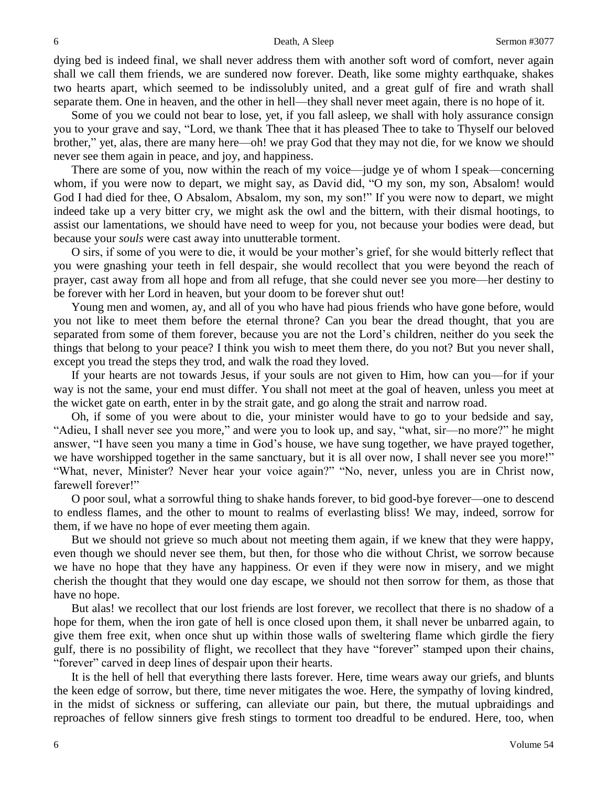dying bed is indeed final, we shall never address them with another soft word of comfort, never again shall we call them friends, we are sundered now forever. Death, like some mighty earthquake, shakes two hearts apart, which seemed to be indissolubly united, and a great gulf of fire and wrath shall separate them. One in heaven, and the other in hell—they shall never meet again, there is no hope of it.

Some of you we could not bear to lose, yet, if you fall asleep, we shall with holy assurance consign you to your grave and say, "Lord, we thank Thee that it has pleased Thee to take to Thyself our beloved brother," yet, alas, there are many here—oh! we pray God that they may not die, for we know we should never see them again in peace, and joy, and happiness.

There are some of you, now within the reach of my voice—judge ye of whom I speak—concerning whom, if you were now to depart, we might say, as David did, "O my son, my son, Absalom! would God I had died for thee, O Absalom, Absalom, my son, my son!" If you were now to depart, we might indeed take up a very bitter cry, we might ask the owl and the bittern, with their dismal hootings, to assist our lamentations, we should have need to weep for you, not because your bodies were dead, but because your *souls* were cast away into unutterable torment.

O sirs, if some of you were to die, it would be your mother's grief, for she would bitterly reflect that you were gnashing your teeth in fell despair, she would recollect that you were beyond the reach of prayer, cast away from all hope and from all refuge, that she could never see you more—her destiny to be forever with her Lord in heaven, but your doom to be forever shut out!

Young men and women, ay, and all of you who have had pious friends who have gone before, would you not like to meet them before the eternal throne? Can you bear the dread thought, that you are separated from some of them forever, because you are not the Lord's children, neither do you seek the things that belong to your peace? I think you wish to meet them there, do you not? But you never shall, except you tread the steps they trod, and walk the road they loved.

If your hearts are not towards Jesus, if your souls are not given to Him, how can you—for if your way is not the same, your end must differ. You shall not meet at the goal of heaven, unless you meet at the wicket gate on earth, enter in by the strait gate, and go along the strait and narrow road.

Oh, if some of you were about to die, your minister would have to go to your bedside and say, "Adieu, I shall never see you more," and were you to look up, and say, "what, sir—no more?" he might answer, "I have seen you many a time in God's house, we have sung together, we have prayed together, we have worshipped together in the same sanctuary, but it is all over now, I shall never see you more!" "What, never, Minister? Never hear your voice again?" "No, never, unless you are in Christ now, farewell forever!"

O poor soul, what a sorrowful thing to shake hands forever, to bid good-bye forever—one to descend to endless flames, and the other to mount to realms of everlasting bliss! We may, indeed, sorrow for them, if we have no hope of ever meeting them again.

But we should not grieve so much about not meeting them again, if we knew that they were happy, even though we should never see them, but then, for those who die without Christ, we sorrow because we have no hope that they have any happiness. Or even if they were now in misery, and we might cherish the thought that they would one day escape, we should not then sorrow for them, as those that have no hope.

But alas! we recollect that our lost friends are lost forever, we recollect that there is no shadow of a hope for them, when the iron gate of hell is once closed upon them, it shall never be unbarred again, to give them free exit, when once shut up within those walls of sweltering flame which girdle the fiery gulf, there is no possibility of flight, we recollect that they have "forever" stamped upon their chains, "forever" carved in deep lines of despair upon their hearts.

It is the hell of hell that everything there lasts forever. Here, time wears away our griefs, and blunts the keen edge of sorrow, but there, time never mitigates the woe. Here, the sympathy of loving kindred, in the midst of sickness or suffering, can alleviate our pain, but there, the mutual upbraidings and reproaches of fellow sinners give fresh stings to torment too dreadful to be endured. Here, too, when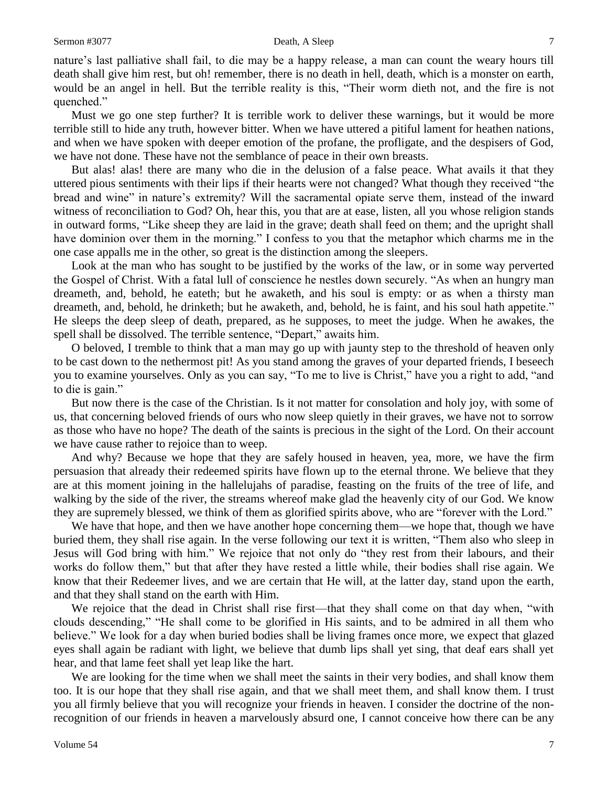### Sermon #3077 Death, A Sleep 7

nature's last palliative shall fail, to die may be a happy release, a man can count the weary hours till death shall give him rest, but oh! remember, there is no death in hell, death, which is a monster on earth, would be an angel in hell. But the terrible reality is this, "Their worm dieth not, and the fire is not quenched."

Must we go one step further? It is terrible work to deliver these warnings, but it would be more terrible still to hide any truth, however bitter. When we have uttered a pitiful lament for heathen nations, and when we have spoken with deeper emotion of the profane, the profligate, and the despisers of God, we have not done. These have not the semblance of peace in their own breasts.

But alas! alas! there are many who die in the delusion of a false peace. What avails it that they uttered pious sentiments with their lips if their hearts were not changed? What though they received "the bread and wine" in nature's extremity? Will the sacramental opiate serve them, instead of the inward witness of reconciliation to God? Oh, hear this, you that are at ease, listen, all you whose religion stands in outward forms, "Like sheep they are laid in the grave; death shall feed on them; and the upright shall have dominion over them in the morning." I confess to you that the metaphor which charms me in the one case appalls me in the other, so great is the distinction among the sleepers.

Look at the man who has sought to be justified by the works of the law, or in some way perverted the Gospel of Christ. With a fatal lull of conscience he nestles down securely. "As when an hungry man dreameth, and, behold, he eateth; but he awaketh, and his soul is empty: or as when a thirsty man dreameth, and, behold, he drinketh; but he awaketh, and, behold, he is faint, and his soul hath appetite." He sleeps the deep sleep of death, prepared, as he supposes, to meet the judge. When he awakes, the spell shall be dissolved. The terrible sentence, "Depart," awaits him.

O beloved, I tremble to think that a man may go up with jaunty step to the threshold of heaven only to be cast down to the nethermost pit! As you stand among the graves of your departed friends, I beseech you to examine yourselves. Only as you can say, "To me to live is Christ," have you a right to add, "and to die is gain."

But now there is the case of the Christian. Is it not matter for consolation and holy joy, with some of us, that concerning beloved friends of ours who now sleep quietly in their graves, we have not to sorrow as those who have no hope? The death of the saints is precious in the sight of the Lord. On their account we have cause rather to rejoice than to weep.

And why? Because we hope that they are safely housed in heaven, yea, more, we have the firm persuasion that already their redeemed spirits have flown up to the eternal throne. We believe that they are at this moment joining in the hallelujahs of paradise, feasting on the fruits of the tree of life, and walking by the side of the river, the streams whereof make glad the heavenly city of our God. We know they are supremely blessed, we think of them as glorified spirits above, who are "forever with the Lord."

We have that hope, and then we have another hope concerning them—we hope that, though we have buried them, they shall rise again. In the verse following our text it is written, "Them also who sleep in Jesus will God bring with him." We rejoice that not only do "they rest from their labours, and their works do follow them," but that after they have rested a little while, their bodies shall rise again. We know that their Redeemer lives, and we are certain that He will, at the latter day, stand upon the earth, and that they shall stand on the earth with Him.

We rejoice that the dead in Christ shall rise first—that they shall come on that day when, "with clouds descending," "He shall come to be glorified in His saints, and to be admired in all them who believe." We look for a day when buried bodies shall be living frames once more, we expect that glazed eyes shall again be radiant with light, we believe that dumb lips shall yet sing, that deaf ears shall yet hear, and that lame feet shall yet leap like the hart.

We are looking for the time when we shall meet the saints in their very bodies, and shall know them too. It is our hope that they shall rise again, and that we shall meet them, and shall know them. I trust you all firmly believe that you will recognize your friends in heaven. I consider the doctrine of the nonrecognition of our friends in heaven a marvelously absurd one, I cannot conceive how there can be any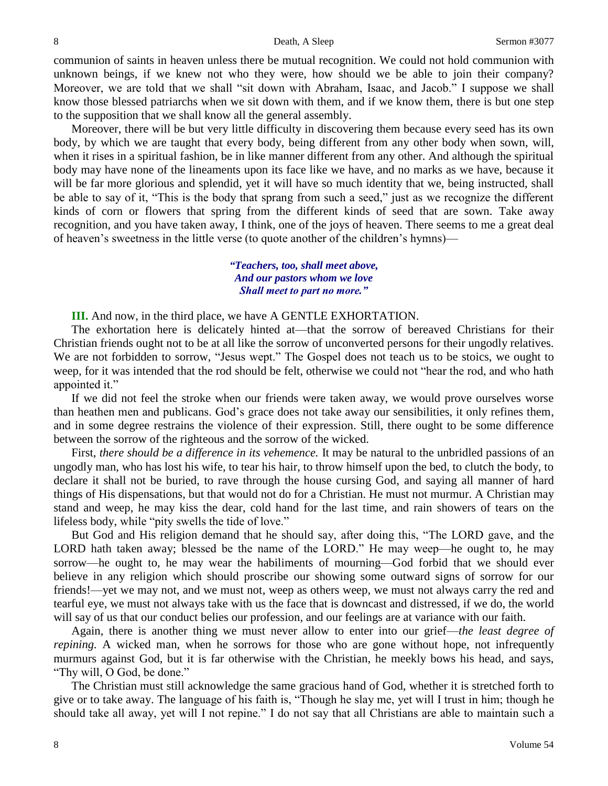communion of saints in heaven unless there be mutual recognition. We could not hold communion with unknown beings, if we knew not who they were, how should we be able to join their company? Moreover, we are told that we shall "sit down with Abraham, Isaac, and Jacob." I suppose we shall know those blessed patriarchs when we sit down with them, and if we know them, there is but one step to the supposition that we shall know all the general assembly.

Moreover, there will be but very little difficulty in discovering them because every seed has its own body, by which we are taught that every body, being different from any other body when sown, will, when it rises in a spiritual fashion, be in like manner different from any other. And although the spiritual body may have none of the lineaments upon its face like we have, and no marks as we have, because it will be far more glorious and splendid, yet it will have so much identity that we, being instructed, shall be able to say of it, "This is the body that sprang from such a seed," just as we recognize the different kinds of corn or flowers that spring from the different kinds of seed that are sown. Take away recognition, and you have taken away, I think, one of the joys of heaven. There seems to me a great deal of heaven's sweetness in the little verse (to quote another of the children's hymns)—

### *"Teachers, too, shall meet above, And our pastors whom we love Shall meet to part no more."*

**III.** And now, in the third place, we have A GENTLE EXHORTATION.

The exhortation here is delicately hinted at—that the sorrow of bereaved Christians for their Christian friends ought not to be at all like the sorrow of unconverted persons for their ungodly relatives. We are not forbidden to sorrow, "Jesus wept." The Gospel does not teach us to be stoics, we ought to weep, for it was intended that the rod should be felt, otherwise we could not "hear the rod, and who hath appointed it."

If we did not feel the stroke when our friends were taken away, we would prove ourselves worse than heathen men and publicans. God's grace does not take away our sensibilities, it only refines them, and in some degree restrains the violence of their expression. Still, there ought to be some difference between the sorrow of the righteous and the sorrow of the wicked.

First, *there should be a difference in its vehemence.* It may be natural to the unbridled passions of an ungodly man, who has lost his wife, to tear his hair, to throw himself upon the bed, to clutch the body, to declare it shall not be buried, to rave through the house cursing God, and saying all manner of hard things of His dispensations, but that would not do for a Christian. He must not murmur. A Christian may stand and weep, he may kiss the dear, cold hand for the last time, and rain showers of tears on the lifeless body, while "pity swells the tide of love."

But God and His religion demand that he should say, after doing this, "The LORD gave, and the LORD hath taken away; blessed be the name of the LORD." He may weep—he ought to, he may sorrow—he ought to, he may wear the habiliments of mourning—God forbid that we should ever believe in any religion which should proscribe our showing some outward signs of sorrow for our friends!—yet we may not, and we must not, weep as others weep, we must not always carry the red and tearful eye, we must not always take with us the face that is downcast and distressed, if we do, the world will say of us that our conduct belies our profession, and our feelings are at variance with our faith.

Again, there is another thing we must never allow to enter into our grief—*the least degree of repining.* A wicked man, when he sorrows for those who are gone without hope, not infrequently murmurs against God, but it is far otherwise with the Christian, he meekly bows his head, and says, "Thy will, O God, be done."

The Christian must still acknowledge the same gracious hand of God, whether it is stretched forth to give or to take away. The language of his faith is, "Though he slay me, yet will I trust in him; though he should take all away, yet will I not repine." I do not say that all Christians are able to maintain such a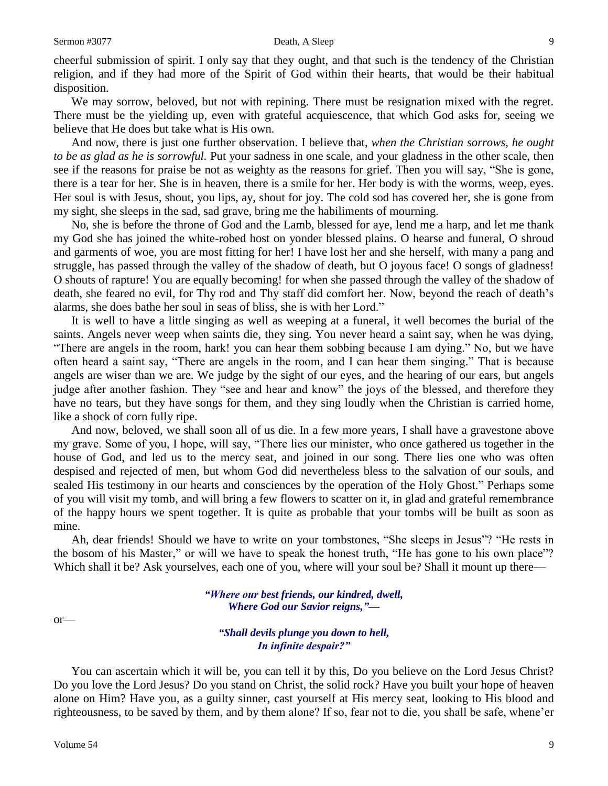cheerful submission of spirit. I only say that they ought, and that such is the tendency of the Christian religion, and if they had more of the Spirit of God within their hearts, that would be their habitual disposition.

We may sorrow, beloved, but not with repining. There must be resignation mixed with the regret. There must be the yielding up, even with grateful acquiescence, that which God asks for, seeing we believe that He does but take what is His own.

And now, there is just one further observation. I believe that, *when the Christian sorrows, he ought to be as glad as he is sorrowful.* Put your sadness in one scale, and your gladness in the other scale, then see if the reasons for praise be not as weighty as the reasons for grief. Then you will say, "She is gone, there is a tear for her. She is in heaven, there is a smile for her. Her body is with the worms, weep, eyes. Her soul is with Jesus, shout, you lips, ay, shout for joy. The cold sod has covered her, she is gone from my sight, she sleeps in the sad, sad grave, bring me the habiliments of mourning.

No, she is before the throne of God and the Lamb, blessed for aye, lend me a harp, and let me thank my God she has joined the white-robed host on yonder blessed plains. O hearse and funeral, O shroud and garments of woe, you are most fitting for her! I have lost her and she herself, with many a pang and struggle, has passed through the valley of the shadow of death, but O joyous face! O songs of gladness! O shouts of rapture! You are equally becoming! for when she passed through the valley of the shadow of death, she feared no evil, for Thy rod and Thy staff did comfort her. Now, beyond the reach of death's alarms, she does bathe her soul in seas of bliss, she is with her Lord."

It is well to have a little singing as well as weeping at a funeral, it well becomes the burial of the saints. Angels never weep when saints die, they sing. You never heard a saint say, when he was dying, "There are angels in the room, hark! you can hear them sobbing because I am dying." No, but we have often heard a saint say, "There are angels in the room, and I can hear them singing." That is because angels are wiser than we are. We judge by the sight of our eyes, and the hearing of our ears, but angels judge after another fashion. They "see and hear and know" the joys of the blessed, and therefore they have no tears, but they have songs for them, and they sing loudly when the Christian is carried home, like a shock of corn fully ripe.

And now, beloved, we shall soon all of us die. In a few more years, I shall have a gravestone above my grave. Some of you, I hope, will say, "There lies our minister, who once gathered us together in the house of God, and led us to the mercy seat, and joined in our song. There lies one who was often despised and rejected of men, but whom God did nevertheless bless to the salvation of our souls, and sealed His testimony in our hearts and consciences by the operation of the Holy Ghost." Perhaps some of you will visit my tomb, and will bring a few flowers to scatter on it, in glad and grateful remembrance of the happy hours we spent together. It is quite as probable that your tombs will be built as soon as mine.

Ah, dear friends! Should we have to write on your tombstones, "She sleeps in Jesus"? "He rests in the bosom of his Master," or will we have to speak the honest truth, "He has gone to his own place"? Which shall it be? Ask yourselves, each one of you, where will your soul be? Shall it mount up there—

> *"Where our best friends, our kindred, dwell, Where God our Savior reigns,"—*

or—

*"Shall devils plunge you down to hell, In infinite despair?"*

You can ascertain which it will be, you can tell it by this, Do you believe on the Lord Jesus Christ? Do you love the Lord Jesus? Do you stand on Christ, the solid rock? Have you built your hope of heaven alone on Him? Have you, as a guilty sinner, cast yourself at His mercy seat, looking to His blood and righteousness, to be saved by them, and by them alone? If so, fear not to die, you shall be safe, whene'er